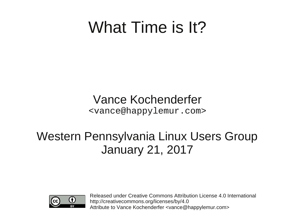### What Time is It?

Vance Kochenderfer <vance@happylemur.com>

#### Western Pennsylvania Linux Users Group January 21, 2017



Released under Creative Commons Attribution License 4.0 International http://creativecommons.org/licenses/by/4.0 Attribute to Vance Kochenderfer <vance@happylemur.com>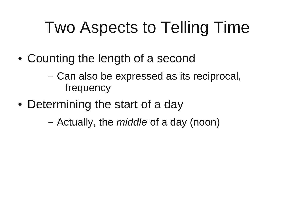### Two Aspects to Telling Time

- Counting the length of a second
	- Can also be expressed as its reciprocal, frequency
- Determining the start of a day
	- Actually, the *middle* of a day (noon)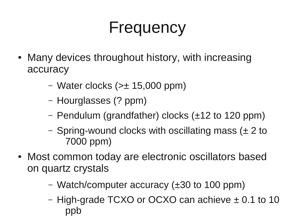### Frequency

- Many devices throughout history, with increasing accuracy
	- Water clocks  $(>\pm 15,000$  ppm)
	- Hourglasses (? ppm)
	- Pendulum (grandfather) clocks (±12 to 120 ppm)
	- Spring-wound clocks with oscillating mass (± 2 to 7000 ppm)
- Most common today are electronic oscillators based on quartz crystals
	- Watch/computer accuracy (±30 to 100 ppm)
	- High-grade TCXO or OCXO can achieve ± 0.1 to 10 ppb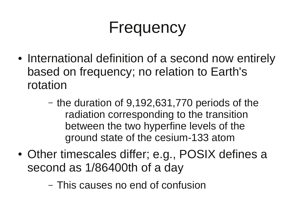### Frequency

- International definition of a second now entirely based on frequency; no relation to Earth's rotation
	- the duration of 9,192,631,770 periods of the radiation corresponding to the transition between the two hyperfine levels of the ground state of the cesium-133 atom
- Other timescales differ; e.g., POSIX defines a second as 1/86400th of a day
	- This causes no end of confusion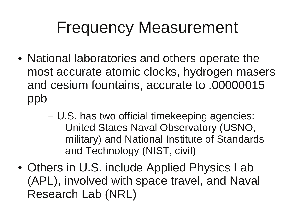### Frequency Measurement

- National laboratories and others operate the most accurate atomic clocks, hydrogen masers and cesium fountains, accurate to .00000015 ppb
	- U.S. has two official timekeeping agencies: United States Naval Observatory (USNO, military) and National Institute of Standards and Technology (NIST, civil)
- Others in U.S. include Applied Physics Lab (APL), involved with space travel, and Naval Research Lab (NRL)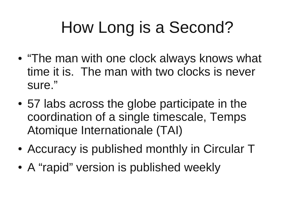### How Long is a Second?

- "The man with one clock always knows what time it is. The man with two clocks is never sure."
- 57 labs across the globe participate in the coordination of a single timescale, Temps Atomique Internationale (TAI)
- Accuracy is published monthly in Circular T
- A "rapid" version is published weekly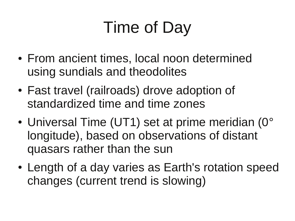# Time of Day

- From ancient times, local noon determined using sundials and theodolites
- Fast travel (railroads) drove adoption of standardized time and time zones
- Universal Time (UT1) set at prime meridian (0° longitude), based on observations of distant quasars rather than the sun
- Length of a day varies as Earth's rotation speed changes (current trend is slowing)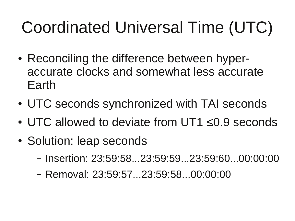# Coordinated Universal Time (UTC)

- Reconciling the difference between hyperaccurate clocks and somewhat less accurate Earth
- UTC seconds synchronized with TAI seconds
- UTC allowed to deviate from UT1 ≤0.9 seconds
- Solution: leap seconds
	- Insertion: 23:59:58...23:59:59...23:59:60...00:00:00
	- Removal: 23:59:57...23:59:58...00:00:00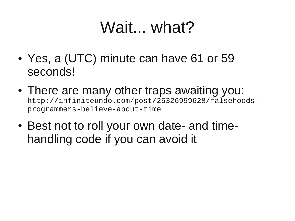### Wait... what?

- Yes, a (UTC) minute can have 61 or 59 seconds!
- There are many other traps awaiting you: http://infiniteundo.com/post/25326999628/falsehoodsprogrammers-believe-about-time
- Best not to roll your own date- and timehandling code if you can avoid it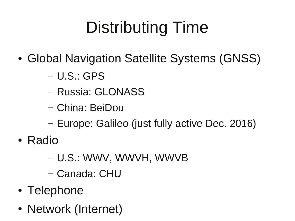# Distributing Time

- Global Navigation Satellite Systems (GNSS)
	- U.S.: GPS
	- Russia: GLONASS
	- China: BeiDou
	- Europe: Galileo (just fully active Dec. 2016)
- Radio
	- U.S.: WWV, WWVH, WWVB
	- Canada: CHU
- Telephone
- Network (Internet)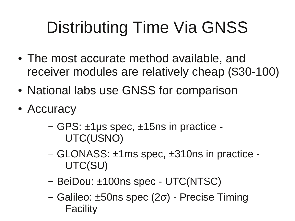# Distributing Time Via GNSS

- The most accurate method available, and receiver modules are relatively cheap (\$30-100)
- National labs use GNSS for comparison
- Accuracy
	- GPS: ±1μs spec, ±15ns in practice UTC(USNO)
	- GLONASS: ±1ms spec, ±310ns in practice UTC(SU)
	- BeiDou: ±100ns spec UTC(NTSC)
	- Galileo: ±50ns spec (2σ) Precise Timing Facility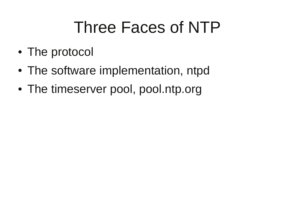### Three Faces of NTP

- The protocol
- The software implementation, ntpd
- The timeserver pool, pool.ntp.org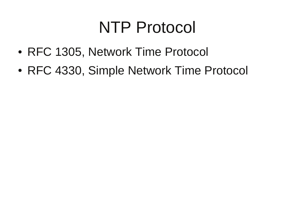#### NTP Protocol

- RFC 1305, Network Time Protocol
- RFC 4330, Simple Network Time Protocol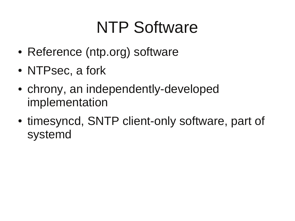### NTP Software

- Reference (ntp.org) software
- NTPsec, a fork
- chrony, an independently-developed implementation
- timesyncd, SNTP client-only software, part of systemd